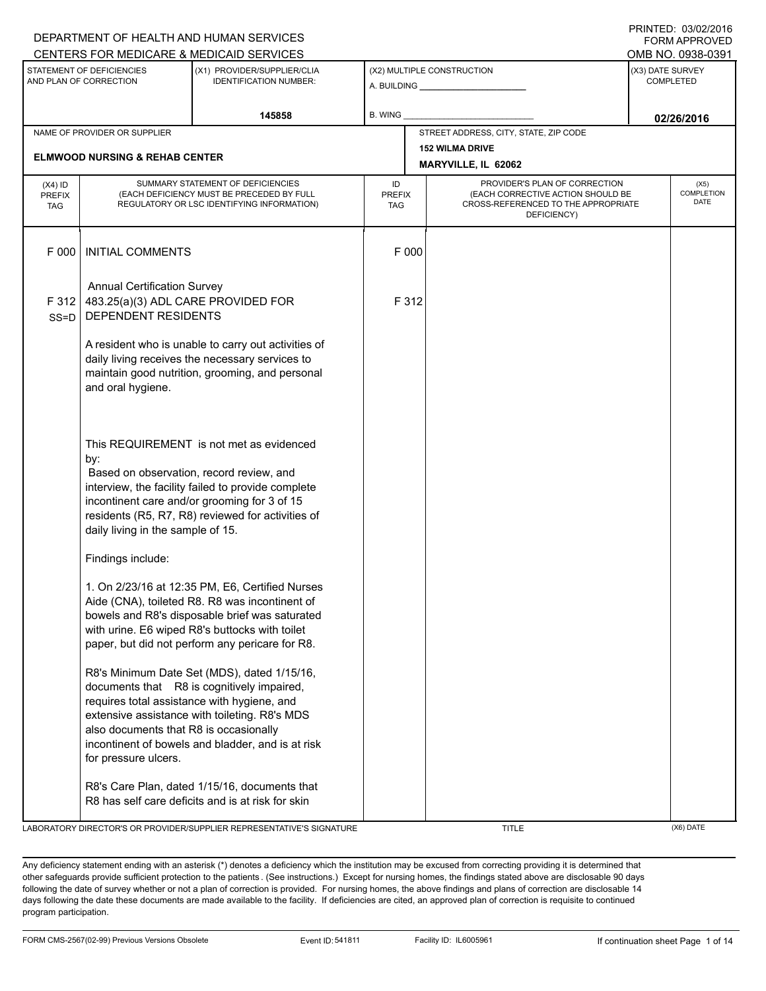|                                          |                                                                                                                                                                                                                                                                                             | DEPARTMENT OF HEALTH AND HUMAN SERVICES<br>CENTERS FOR MEDICARE & MEDICAID SERVICES                                                                                                                                                            |                                   |                                                                                                                          | <b>FORM APPROVED</b><br>OMB NO. 0938-0391 |
|------------------------------------------|---------------------------------------------------------------------------------------------------------------------------------------------------------------------------------------------------------------------------------------------------------------------------------------------|------------------------------------------------------------------------------------------------------------------------------------------------------------------------------------------------------------------------------------------------|-----------------------------------|--------------------------------------------------------------------------------------------------------------------------|-------------------------------------------|
|                                          | STATEMENT OF DEFICIENCIES<br>AND PLAN OF CORRECTION                                                                                                                                                                                                                                         | (X1) PROVIDER/SUPPLIER/CLIA<br><b>IDENTIFICATION NUMBER:</b>                                                                                                                                                                                   |                                   | (X2) MULTIPLE CONSTRUCTION                                                                                               | (X3) DATE SURVEY<br><b>COMPLETED</b>      |
|                                          |                                                                                                                                                                                                                                                                                             | 145858                                                                                                                                                                                                                                         | B. WING                           |                                                                                                                          | 02/26/2016                                |
|                                          | NAME OF PROVIDER OR SUPPLIER<br><b>ELMWOOD NURSING &amp; REHAB CENTER</b>                                                                                                                                                                                                                   |                                                                                                                                                                                                                                                |                                   | STREET ADDRESS, CITY, STATE, ZIP CODE<br><b>152 WILMA DRIVE</b><br>MARYVILLE, IL 62062                                   |                                           |
| $(X4)$ ID<br><b>PREFIX</b><br><b>TAG</b> |                                                                                                                                                                                                                                                                                             | SUMMARY STATEMENT OF DEFICIENCIES<br>(EACH DEFICIENCY MUST BE PRECEDED BY FULL<br>REGULATORY OR LSC IDENTIFYING INFORMATION)                                                                                                                   | ID<br><b>PREFIX</b><br><b>TAG</b> | PROVIDER'S PLAN OF CORRECTION<br>(EACH CORRECTIVE ACTION SHOULD BE<br>CROSS-REFERENCED TO THE APPROPRIATE<br>DEFICIENCY) | (X5)<br><b>COMPLETION</b><br><b>DATE</b>  |
| F 000                                    | <b>INITIAL COMMENTS</b>                                                                                                                                                                                                                                                                     |                                                                                                                                                                                                                                                | F 000                             |                                                                                                                          |                                           |
| F 312<br>$SS = D$                        | <b>Annual Certification Survey</b><br>483.25(a)(3) ADL CARE PROVIDED FOR<br>DEPENDENT RESIDENTS                                                                                                                                                                                             |                                                                                                                                                                                                                                                | F 312                             |                                                                                                                          |                                           |
|                                          | A resident who is unable to carry out activities of<br>daily living receives the necessary services to<br>maintain good nutrition, grooming, and personal<br>and oral hygiene.                                                                                                              |                                                                                                                                                                                                                                                |                                   |                                                                                                                          |                                           |
|                                          | This REQUIREMENT is not met as evidenced<br>by:<br>Based on observation, record review, and<br>interview, the facility failed to provide complete<br>incontinent care and/or grooming for 3 of 15<br>residents (R5, R7, R8) reviewed for activities of<br>daily living in the sample of 15. |                                                                                                                                                                                                                                                |                                   |                                                                                                                          |                                           |
|                                          | Findings include:<br>1. On 2/23/16 at 12:35 PM, E6, Certified Nurses<br>Aide (CNA), toileted R8. R8 was incontinent of<br>bowels and R8's disposable brief was saturated<br>with urine. E6 wiped R8's buttocks with toilet<br>paper, but did not perform any pericare for R8.               |                                                                                                                                                                                                                                                |                                   |                                                                                                                          |                                           |
|                                          | also documents that R8 is occasionally<br>for pressure ulcers.                                                                                                                                                                                                                              | R8's Minimum Date Set (MDS), dated 1/15/16,<br>documents that R8 is cognitively impaired,<br>requires total assistance with hygiene, and<br>extensive assistance with toileting. R8's MDS<br>incontinent of bowels and bladder, and is at risk |                                   |                                                                                                                          |                                           |
|                                          |                                                                                                                                                                                                                                                                                             | R8's Care Plan, dated 1/15/16, documents that<br>R8 has self care deficits and is at risk for skin                                                                                                                                             |                                   |                                                                                                                          |                                           |

LABORATORY DIRECTOR'S OR PROVIDER/SUPPLIER REPRESENTATIVE'S SIGNATURE THE TITLE THE TITLE (X6) DATE

DEPARTMENT OF HEALTH AND HUMAN SERVICES

PRINTED: 03/02/2016

Any deficiency statement ending with an asterisk (\*) denotes a deficiency which the institution may be excused from correcting providing it is determined that other safeguards provide sufficient protection to the patients . (See instructions.) Except for nursing homes, the findings stated above are disclosable 90 days following the date of survey whether or not a plan of correction is provided. For nursing homes, the above findings and plans of correction are disclosable 14 days following the date these documents are made available to the facility. If deficiencies are cited, an approved plan of correction is requisite to continued program participation.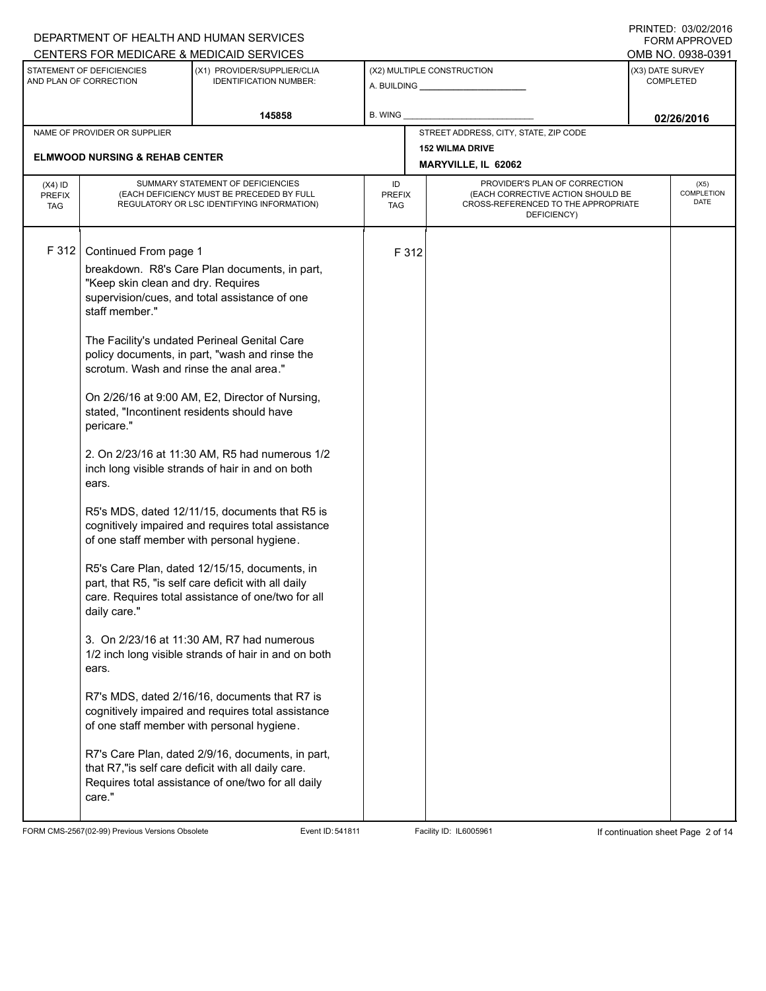|                                          |                                                                                                                                                                                                                                  | DEPARTMENT OF HEALTH AND HUMAN SERVICES                                                                                                                                                                                                                                                                                                                                                                                                                                                                                                                                                                                                                                                                                                                                                                                                                                                                                                                                                                                                                                                                   |                            |       |                                                                                                                          |                  | I INITILLY. VYVYZIZVIV<br><b>FORM APPROVED</b> |
|------------------------------------------|----------------------------------------------------------------------------------------------------------------------------------------------------------------------------------------------------------------------------------|-----------------------------------------------------------------------------------------------------------------------------------------------------------------------------------------------------------------------------------------------------------------------------------------------------------------------------------------------------------------------------------------------------------------------------------------------------------------------------------------------------------------------------------------------------------------------------------------------------------------------------------------------------------------------------------------------------------------------------------------------------------------------------------------------------------------------------------------------------------------------------------------------------------------------------------------------------------------------------------------------------------------------------------------------------------------------------------------------------------|----------------------------|-------|--------------------------------------------------------------------------------------------------------------------------|------------------|------------------------------------------------|
|                                          |                                                                                                                                                                                                                                  | CENTERS FOR MEDICARE & MEDICAID SERVICES                                                                                                                                                                                                                                                                                                                                                                                                                                                                                                                                                                                                                                                                                                                                                                                                                                                                                                                                                                                                                                                                  |                            |       |                                                                                                                          |                  | OMB NO. 0938-0391                              |
|                                          | STATEMENT OF DEFICIENCIES<br>AND PLAN OF CORRECTION                                                                                                                                                                              | (X1) PROVIDER/SUPPLIER/CLIA<br><b>IDENTIFICATION NUMBER:</b>                                                                                                                                                                                                                                                                                                                                                                                                                                                                                                                                                                                                                                                                                                                                                                                                                                                                                                                                                                                                                                              |                            |       | (X2) MULTIPLE CONSTRUCTION                                                                                               | (X3) DATE SURVEY | <b>COMPLETED</b>                               |
|                                          |                                                                                                                                                                                                                                  | 145858                                                                                                                                                                                                                                                                                                                                                                                                                                                                                                                                                                                                                                                                                                                                                                                                                                                                                                                                                                                                                                                                                                    | B. WING                    |       |                                                                                                                          |                  | 02/26/2016                                     |
|                                          | NAME OF PROVIDER OR SUPPLIER                                                                                                                                                                                                     |                                                                                                                                                                                                                                                                                                                                                                                                                                                                                                                                                                                                                                                                                                                                                                                                                                                                                                                                                                                                                                                                                                           |                            |       | STREET ADDRESS, CITY, STATE, ZIP CODE                                                                                    |                  |                                                |
|                                          | <b>ELMWOOD NURSING &amp; REHAB CENTER</b>                                                                                                                                                                                        |                                                                                                                                                                                                                                                                                                                                                                                                                                                                                                                                                                                                                                                                                                                                                                                                                                                                                                                                                                                                                                                                                                           |                            |       | <b>152 WILMA DRIVE</b>                                                                                                   |                  |                                                |
|                                          |                                                                                                                                                                                                                                  |                                                                                                                                                                                                                                                                                                                                                                                                                                                                                                                                                                                                                                                                                                                                                                                                                                                                                                                                                                                                                                                                                                           |                            |       | MARYVILLE, IL 62062                                                                                                      |                  |                                                |
| $(X4)$ ID<br><b>PREFIX</b><br><b>TAG</b> |                                                                                                                                                                                                                                  | SUMMARY STATEMENT OF DEFICIENCIES<br>(EACH DEFICIENCY MUST BE PRECEDED BY FULL<br>REGULATORY OR LSC IDENTIFYING INFORMATION)                                                                                                                                                                                                                                                                                                                                                                                                                                                                                                                                                                                                                                                                                                                                                                                                                                                                                                                                                                              | ID<br><b>PREFIX</b><br>TAG |       | PROVIDER'S PLAN OF CORRECTION<br>(EACH CORRECTIVE ACTION SHOULD BE<br>CROSS-REFERENCED TO THE APPROPRIATE<br>DEFICIENCY) |                  | (X5)<br><b>COMPLETION</b><br>DATE              |
| F312                                     | Continued From page 1<br>"Keep skin clean and dry. Requires<br>staff member."<br>scrotum. Wash and rinse the anal area."<br>stated, "Incontinent residents should have<br>pericare."<br>ears.<br>daily care."<br>ears.<br>care." | breakdown. R8's Care Plan documents, in part,<br>supervision/cues, and total assistance of one<br>The Facility's undated Perineal Genital Care<br>policy documents, in part, "wash and rinse the<br>On 2/26/16 at 9:00 AM, E2, Director of Nursing,<br>2. On 2/23/16 at 11:30 AM, R5 had numerous 1/2<br>inch long visible strands of hair in and on both<br>R5's MDS, dated 12/11/15, documents that R5 is<br>cognitively impaired and requires total assistance<br>of one staff member with personal hygiene.<br>R5's Care Plan, dated 12/15/15, documents, in<br>part, that R5, "is self care deficit with all daily<br>care. Requires total assistance of one/two for all<br>3. On 2/23/16 at 11:30 AM, R7 had numerous<br>1/2 inch long visible strands of hair in and on both<br>R7's MDS, dated 2/16/16, documents that R7 is<br>cognitively impaired and requires total assistance<br>of one staff member with personal hygiene.<br>R7's Care Plan, dated 2/9/16, documents, in part,<br>that R7,"is self care deficit with all daily care.<br>Requires total assistance of one/two for all daily |                            | F 312 |                                                                                                                          |                  |                                                |
|                                          |                                                                                                                                                                                                                                  |                                                                                                                                                                                                                                                                                                                                                                                                                                                                                                                                                                                                                                                                                                                                                                                                                                                                                                                                                                                                                                                                                                           |                            |       |                                                                                                                          |                  |                                                |

FORM CMS-2567(02-99) Previous Versions Obsolete Event ID: 541811 Event ID: 541811 Facility ID: IL6005961 If continuation sheet Page 2 of 14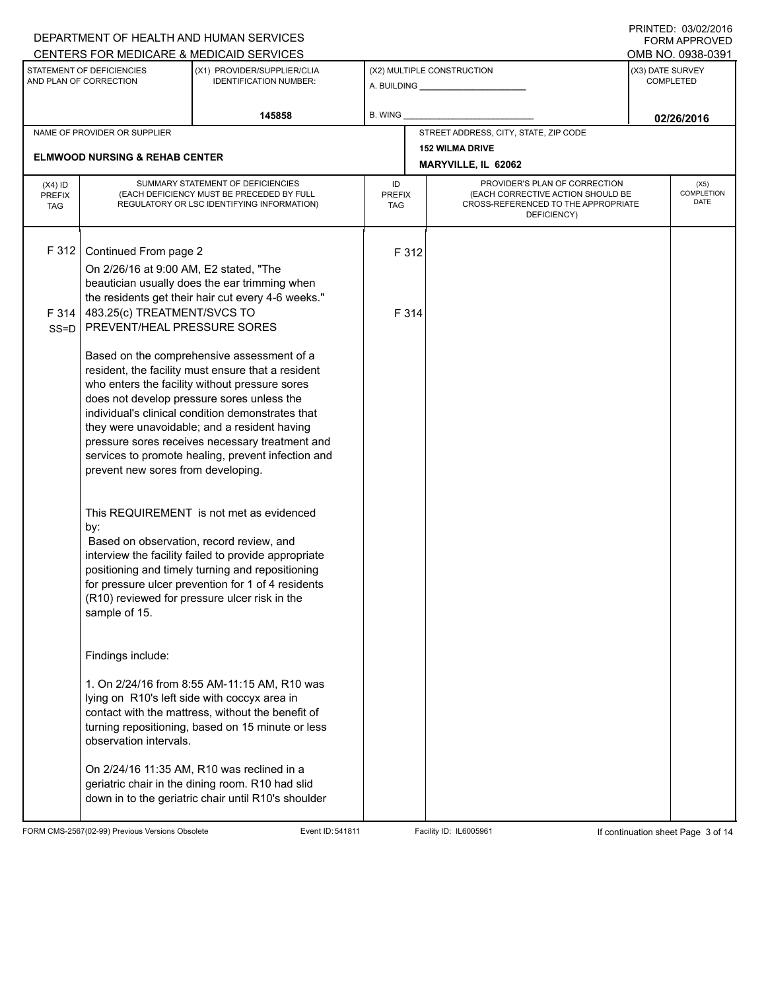|                                          |                                                                                                                               | DEPARTMENT OF HEALTH AND HUMAN SERVICES                                                                                                                                                                                                                                                                                                                                                                        |                            |                |                                                                                                                          |                  | 11111111117.0000272010<br><b>FORM APPROVED</b> |
|------------------------------------------|-------------------------------------------------------------------------------------------------------------------------------|----------------------------------------------------------------------------------------------------------------------------------------------------------------------------------------------------------------------------------------------------------------------------------------------------------------------------------------------------------------------------------------------------------------|----------------------------|----------------|--------------------------------------------------------------------------------------------------------------------------|------------------|------------------------------------------------|
|                                          |                                                                                                                               | CENTERS FOR MEDICARE & MEDICAID SERVICES                                                                                                                                                                                                                                                                                                                                                                       |                            |                |                                                                                                                          |                  | OMB NO. 0938-0391                              |
|                                          | STATEMENT OF DEFICIENCIES<br>AND PLAN OF CORRECTION                                                                           | (X1) PROVIDER/SUPPLIER/CLIA<br><b>IDENTIFICATION NUMBER:</b>                                                                                                                                                                                                                                                                                                                                                   |                            |                | (X2) MULTIPLE CONSTRUCTION                                                                                               | (X3) DATE SURVEY | <b>COMPLETED</b>                               |
|                                          |                                                                                                                               | 145858                                                                                                                                                                                                                                                                                                                                                                                                         | <b>B. WING</b>             |                |                                                                                                                          |                  | 02/26/2016                                     |
|                                          | NAME OF PROVIDER OR SUPPLIER                                                                                                  |                                                                                                                                                                                                                                                                                                                                                                                                                |                            |                | STREET ADDRESS, CITY, STATE, ZIP CODE                                                                                    |                  |                                                |
|                                          | <b>ELMWOOD NURSING &amp; REHAB CENTER</b>                                                                                     |                                                                                                                                                                                                                                                                                                                                                                                                                |                            |                | <b>152 WILMA DRIVE</b><br>MARYVILLE, IL 62062                                                                            |                  |                                                |
| $(X4)$ ID<br><b>PREFIX</b><br><b>TAG</b> |                                                                                                                               | SUMMARY STATEMENT OF DEFICIENCIES<br>(EACH DEFICIENCY MUST BE PRECEDED BY FULL<br>REGULATORY OR LSC IDENTIFYING INFORMATION)                                                                                                                                                                                                                                                                                   | ID<br><b>PREFIX</b><br>TAG |                | PROVIDER'S PLAN OF CORRECTION<br>(EACH CORRECTIVE ACTION SHOULD BE<br>CROSS-REFERENCED TO THE APPROPRIATE<br>DEFICIENCY) |                  | (X5)<br><b>COMPLETION</b><br>DATE              |
| F 312<br>F 314<br>$SS = D$               | Continued From page 2<br>On 2/26/16 at 9:00 AM, E2 stated, "The<br>483.25(c) TREATMENT/SVCS TO<br>PREVENT/HEAL PRESSURE SORES | beautician usually does the ear trimming when<br>the residents get their hair cut every 4-6 weeks."                                                                                                                                                                                                                                                                                                            |                            | F 312<br>F 314 |                                                                                                                          |                  |                                                |
|                                          | prevent new sores from developing.                                                                                            | Based on the comprehensive assessment of a<br>resident, the facility must ensure that a resident<br>who enters the facility without pressure sores<br>does not develop pressure sores unless the<br>individual's clinical condition demonstrates that<br>they were unavoidable; and a resident having<br>pressure sores receives necessary treatment and<br>services to promote healing, prevent infection and |                            |                |                                                                                                                          |                  |                                                |
|                                          | by:<br>Based on observation, record review, and<br>sample of 15.                                                              | This REQUIREMENT is not met as evidenced<br>interview the facility failed to provide appropriate<br>positioning and timely turning and repositioning<br>for pressure ulcer prevention for 1 of 4 residents<br>(R10) reviewed for pressure ulcer risk in the                                                                                                                                                    |                            |                |                                                                                                                          |                  |                                                |
|                                          | Findings include:<br>lying on R10's left side with coccyx area in<br>observation intervals.                                   | 1. On 2/24/16 from 8:55 AM-11:15 AM, R10 was<br>contact with the mattress, without the benefit of<br>turning repositioning, based on 15 minute or less<br>On 2/24/16 11:35 AM, R10 was reclined in a<br>geriatric chair in the dining room. R10 had slid<br>down in to the geriatric chair until R10's shoulder                                                                                                |                            |                |                                                                                                                          |                  |                                                |

FORM CMS-2567(02-99) Previous Versions Obsolete Event ID: 541811 Event ID: 541811 Facility ID: IL6005961 If continuation sheet Page 3 of 14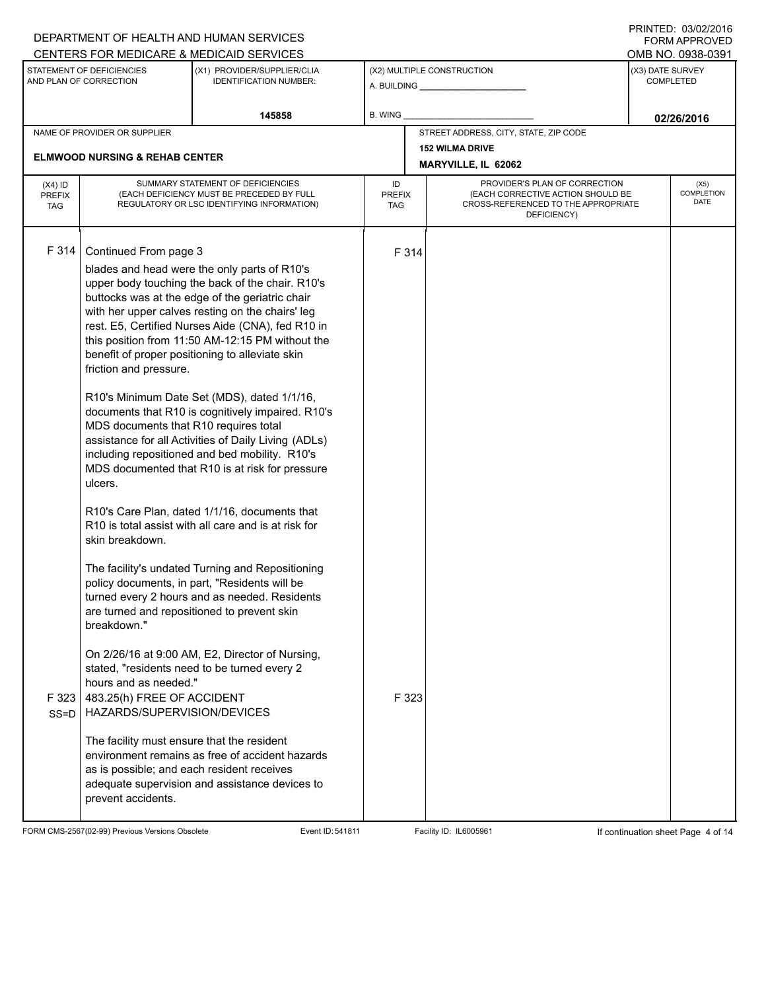|                                          |                                                                                                                                       | DEPARTMENT OF HEALTH AND HUMAN SERVICES                                                                                                                                                                                                                                                                                                                                                                                                                                                                                                                                                                                                                                                                                                                                                                                                                                                                                                                                                               |                            |                     |                                                                                                                          |                                      | <b>FORM APPROVED</b>              |  |  |  |
|------------------------------------------|---------------------------------------------------------------------------------------------------------------------------------------|-------------------------------------------------------------------------------------------------------------------------------------------------------------------------------------------------------------------------------------------------------------------------------------------------------------------------------------------------------------------------------------------------------------------------------------------------------------------------------------------------------------------------------------------------------------------------------------------------------------------------------------------------------------------------------------------------------------------------------------------------------------------------------------------------------------------------------------------------------------------------------------------------------------------------------------------------------------------------------------------------------|----------------------------|---------------------|--------------------------------------------------------------------------------------------------------------------------|--------------------------------------|-----------------------------------|--|--|--|
|                                          |                                                                                                                                       | CENTERS FOR MEDICARE & MEDICAID SERVICES                                                                                                                                                                                                                                                                                                                                                                                                                                                                                                                                                                                                                                                                                                                                                                                                                                                                                                                                                              |                            |                     |                                                                                                                          |                                      | OMB NO. 0938-0391                 |  |  |  |
|                                          | STATEMENT OF DEFICIENCIES<br>AND PLAN OF CORRECTION                                                                                   | (X1) PROVIDER/SUPPLIER/CLIA<br><b>IDENTIFICATION NUMBER:</b>                                                                                                                                                                                                                                                                                                                                                                                                                                                                                                                                                                                                                                                                                                                                                                                                                                                                                                                                          |                            |                     | (X2) MULTIPLE CONSTRUCTION<br>A. BUILDING <b>A. BUILDING</b>                                                             | (X3) DATE SURVEY<br><b>COMPLETED</b> |                                   |  |  |  |
|                                          |                                                                                                                                       | 145858                                                                                                                                                                                                                                                                                                                                                                                                                                                                                                                                                                                                                                                                                                                                                                                                                                                                                                                                                                                                | <b>B. WING</b>             |                     |                                                                                                                          |                                      | 02/26/2016                        |  |  |  |
|                                          | NAME OF PROVIDER OR SUPPLIER                                                                                                          |                                                                                                                                                                                                                                                                                                                                                                                                                                                                                                                                                                                                                                                                                                                                                                                                                                                                                                                                                                                                       |                            |                     | STREET ADDRESS, CITY, STATE, ZIP CODE                                                                                    |                                      |                                   |  |  |  |
|                                          | <b>ELMWOOD NURSING &amp; REHAB CENTER</b>                                                                                             |                                                                                                                                                                                                                                                                                                                                                                                                                                                                                                                                                                                                                                                                                                                                                                                                                                                                                                                                                                                                       |                            |                     | <b>152 WILMA DRIVE</b>                                                                                                   |                                      |                                   |  |  |  |
|                                          |                                                                                                                                       |                                                                                                                                                                                                                                                                                                                                                                                                                                                                                                                                                                                                                                                                                                                                                                                                                                                                                                                                                                                                       |                            | MARYVILLE, IL 62062 |                                                                                                                          |                                      |                                   |  |  |  |
| $(X4)$ ID<br><b>PREFIX</b><br><b>TAG</b> |                                                                                                                                       | SUMMARY STATEMENT OF DEFICIENCIES<br>(EACH DEFICIENCY MUST BE PRECEDED BY FULL<br>REGULATORY OR LSC IDENTIFYING INFORMATION)                                                                                                                                                                                                                                                                                                                                                                                                                                                                                                                                                                                                                                                                                                                                                                                                                                                                          | ID<br><b>PREFIX</b><br>TAG |                     | PROVIDER'S PLAN OF CORRECTION<br>(EACH CORRECTIVE ACTION SHOULD BE<br>CROSS-REFERENCED TO THE APPROPRIATE<br>DEFICIENCY) |                                      | (X5)<br><b>COMPLETION</b><br>DATE |  |  |  |
| F 314                                    | Continued From page 3<br>friction and pressure.<br>MDS documents that R10 requires total<br>ulcers.<br>skin breakdown.<br>breakdown." | blades and head were the only parts of R10's<br>upper body touching the back of the chair. R10's<br>buttocks was at the edge of the geriatric chair<br>with her upper calves resting on the chairs' leg<br>rest. E5, Certified Nurses Aide (CNA), fed R10 in<br>this position from 11:50 AM-12:15 PM without the<br>benefit of proper positioning to alleviate skin<br>R10's Minimum Date Set (MDS), dated 1/1/16,<br>documents that R10 is cognitively impaired. R10's<br>assistance for all Activities of Daily Living (ADLs)<br>including repositioned and bed mobility. R10's<br>MDS documented that R10 is at risk for pressure<br>R10's Care Plan, dated 1/1/16, documents that<br>R10 is total assist with all care and is at risk for<br>The facility's undated Turning and Repositioning<br>policy documents, in part, "Residents will be<br>turned every 2 hours and as needed. Residents<br>are turned and repositioned to prevent skin<br>On 2/26/16 at 9:00 AM, E2, Director of Nursing, |                            | F 314               |                                                                                                                          |                                      |                                   |  |  |  |
| F323<br>$SS=D$                           | hours and as needed."<br>483.25(h) FREE OF ACCIDENT<br>HAZARDS/SUPERVISION/DEVICES<br>The facility must ensure that the resident      | stated, "residents need to be turned every 2<br>environment remains as free of accident hazards                                                                                                                                                                                                                                                                                                                                                                                                                                                                                                                                                                                                                                                                                                                                                                                                                                                                                                       |                            | F 323               |                                                                                                                          |                                      |                                   |  |  |  |
|                                          | as is possible; and each resident receives<br>prevent accidents.                                                                      | adequate supervision and assistance devices to                                                                                                                                                                                                                                                                                                                                                                                                                                                                                                                                                                                                                                                                                                                                                                                                                                                                                                                                                        |                            |                     |                                                                                                                          |                                      |                                   |  |  |  |

FORM CMS-2567(02-99) Previous Versions Obsolete Event ID: 541811 Event ID: 541811 Facility ID: IL6005961 If continuation sheet Page 4 of 14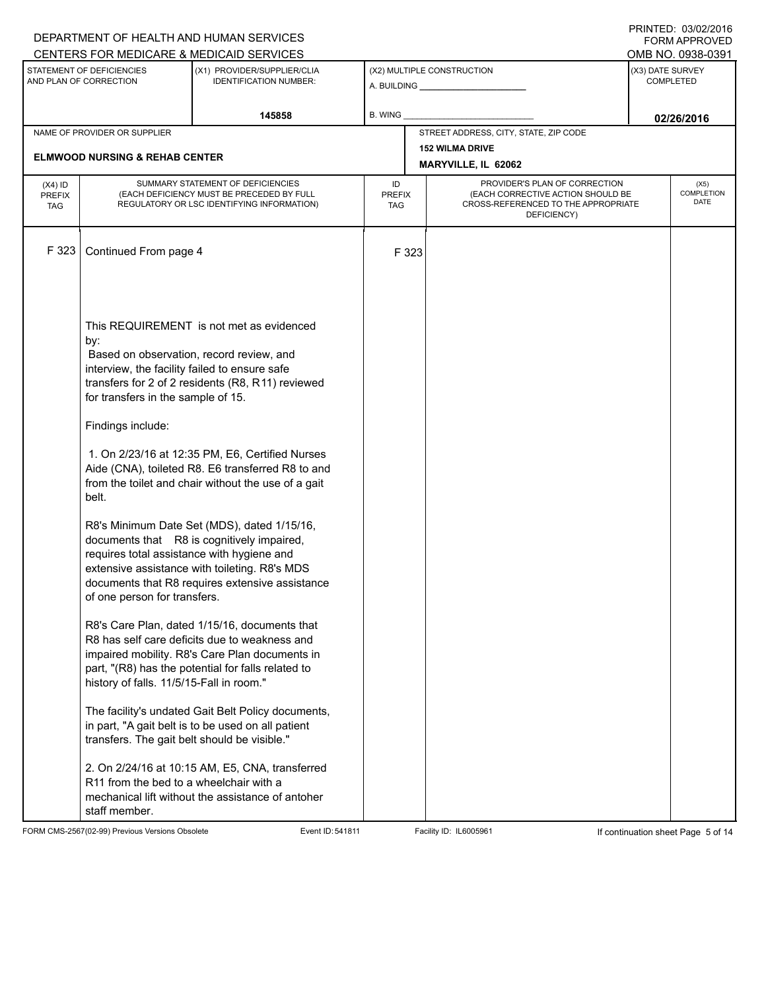|               |                                                                                                                                                                                      | DEPARTMENT OF HEALTH AND HUMAN SERVICES                                                                                                                                                                                                                                                                                                                                                                                                                                                                   |                      |                                                                          |                  | I INITILLY. 00/04/2010<br><b>FORM APPROVED</b> |
|---------------|--------------------------------------------------------------------------------------------------------------------------------------------------------------------------------------|-----------------------------------------------------------------------------------------------------------------------------------------------------------------------------------------------------------------------------------------------------------------------------------------------------------------------------------------------------------------------------------------------------------------------------------------------------------------------------------------------------------|----------------------|--------------------------------------------------------------------------|------------------|------------------------------------------------|
|               |                                                                                                                                                                                      | CENTERS FOR MEDICARE & MEDICAID SERVICES                                                                                                                                                                                                                                                                                                                                                                                                                                                                  |                      |                                                                          |                  | OMB NO. 0938-0391                              |
|               | STATEMENT OF DEFICIENCIES<br>AND PLAN OF CORRECTION                                                                                                                                  | (X1) PROVIDER/SUPPLIER/CLIA<br><b>IDENTIFICATION NUMBER:</b>                                                                                                                                                                                                                                                                                                                                                                                                                                              |                      | (X2) MULTIPLE CONSTRUCTION                                               | (X3) DATE SURVEY | <b>COMPLETED</b>                               |
|               |                                                                                                                                                                                      | 145858                                                                                                                                                                                                                                                                                                                                                                                                                                                                                                    | B. WING              |                                                                          |                  | 02/26/2016                                     |
|               | NAME OF PROVIDER OR SUPPLIER                                                                                                                                                         |                                                                                                                                                                                                                                                                                                                                                                                                                                                                                                           |                      | STREET ADDRESS, CITY, STATE, ZIP CODE                                    |                  |                                                |
|               | <b>ELMWOOD NURSING &amp; REHAB CENTER</b>                                                                                                                                            |                                                                                                                                                                                                                                                                                                                                                                                                                                                                                                           |                      | <b>152 WILMA DRIVE</b>                                                   |                  |                                                |
|               |                                                                                                                                                                                      |                                                                                                                                                                                                                                                                                                                                                                                                                                                                                                           |                      | MARYVILLE, IL 62062                                                      |                  |                                                |
| $(X4)$ ID     |                                                                                                                                                                                      | SUMMARY STATEMENT OF DEFICIENCIES                                                                                                                                                                                                                                                                                                                                                                                                                                                                         | ID                   | PROVIDER'S PLAN OF CORRECTION                                            |                  | (X5)                                           |
| <b>PREFIX</b> |                                                                                                                                                                                      | (EACH DEFICIENCY MUST BE PRECEDED BY FULL<br>REGULATORY OR LSC IDENTIFYING INFORMATION)                                                                                                                                                                                                                                                                                                                                                                                                                   | <b>PREFIX</b><br>TAG | (EACH CORRECTIVE ACTION SHOULD BE<br>CROSS-REFERENCED TO THE APPROPRIATE |                  | <b>COMPLETION</b><br>DATE                      |
| <b>TAG</b>    |                                                                                                                                                                                      |                                                                                                                                                                                                                                                                                                                                                                                                                                                                                                           |                      | DEFICIENCY)                                                              |                  |                                                |
| F 323         | Continued From page 4                                                                                                                                                                |                                                                                                                                                                                                                                                                                                                                                                                                                                                                                                           | F 323                |                                                                          |                  |                                                |
|               | by:<br>interview, the facility failed to ensure safe<br>for transfers in the sample of 15.<br>Findings include:<br>belt.<br>requires total assistance with hygiene and               | This REQUIREMENT is not met as evidenced<br>Based on observation, record review, and<br>transfers for 2 of 2 residents (R8, R11) reviewed<br>1. On 2/23/16 at 12:35 PM, E6, Certified Nurses<br>Aide (CNA), toileted R8. E6 transferred R8 to and<br>from the toilet and chair without the use of a gait<br>R8's Minimum Date Set (MDS), dated 1/15/16,<br>documents that R8 is cognitively impaired,<br>extensive assistance with toileting. R8's MDS<br>documents that R8 requires extensive assistance |                      |                                                                          |                  |                                                |
|               | of one person for transfers.<br>history of falls. 11/5/15-Fall in room."<br>transfers. The gait belt should be visible."<br>R11 from the bed to a wheelchair with a<br>staff member. | R8's Care Plan, dated 1/15/16, documents that<br>R8 has self care deficits due to weakness and<br>impaired mobility. R8's Care Plan documents in<br>part, "(R8) has the potential for falls related to<br>The facility's undated Gait Belt Policy documents,<br>in part, "A gait belt is to be used on all patient<br>2. On 2/24/16 at 10:15 AM, E5, CNA, transferred<br>mechanical lift without the assistance of antoher                                                                                |                      |                                                                          |                  |                                                |

FORM CMS-2567(02-99) Previous Versions Obsolete Event ID: 541811 Event ID: 541811 Facility ID: IL6005961 If continuation sheet Page 5 of 14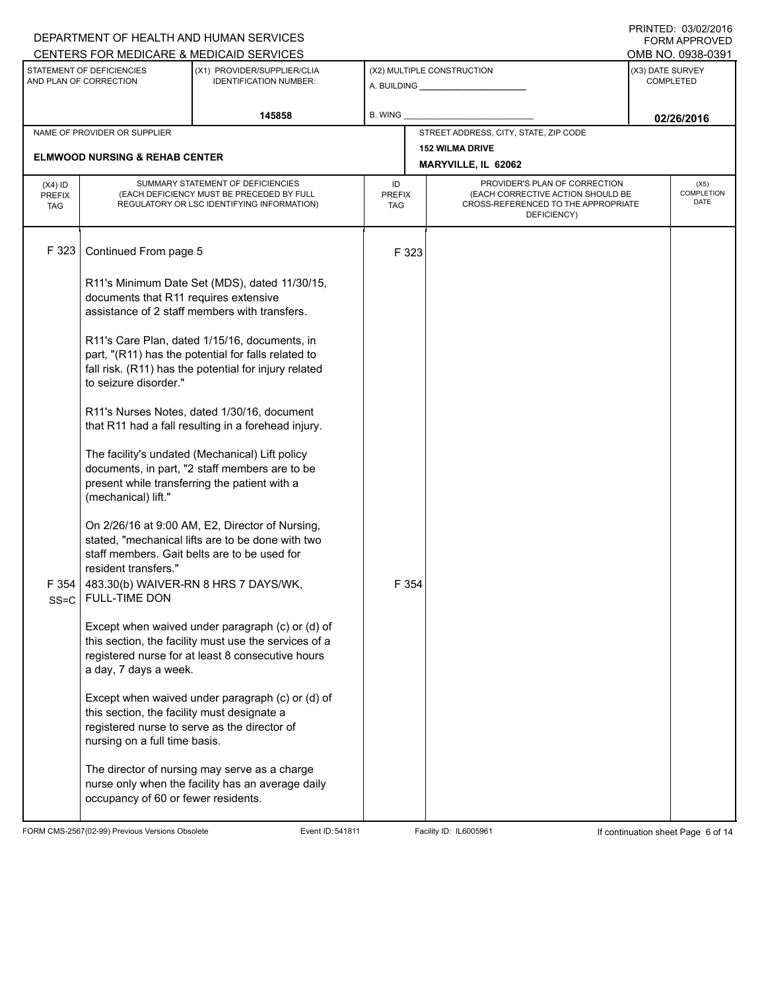|                                          |                                                                                                                                                                                                                                                                                                                                   | DEPARTMENT OF HEALTH AND HUMAN SERVICES                                                                                                                        |                            |       |                                                                                                                          |                  | I INITILLY. 00/04/4010<br><b>FORM APPROVED</b> |
|------------------------------------------|-----------------------------------------------------------------------------------------------------------------------------------------------------------------------------------------------------------------------------------------------------------------------------------------------------------------------------------|----------------------------------------------------------------------------------------------------------------------------------------------------------------|----------------------------|-------|--------------------------------------------------------------------------------------------------------------------------|------------------|------------------------------------------------|
|                                          | STATEMENT OF DEFICIENCIES                                                                                                                                                                                                                                                                                                         | CENTERS FOR MEDICARE & MEDICAID SERVICES<br>(X1) PROVIDER/SUPPLIER/CLIA                                                                                        |                            |       | (X2) MULTIPLE CONSTRUCTION                                                                                               | (X3) DATE SURVEY | OMB NO. 0938-0391                              |
|                                          | AND PLAN OF CORRECTION                                                                                                                                                                                                                                                                                                            | <b>IDENTIFICATION NUMBER:</b>                                                                                                                                  |                            |       |                                                                                                                          |                  | COMPLETED                                      |
|                                          |                                                                                                                                                                                                                                                                                                                                   | 145858                                                                                                                                                         | B. WING                    |       |                                                                                                                          |                  | 02/26/2016                                     |
|                                          | NAME OF PROVIDER OR SUPPLIER                                                                                                                                                                                                                                                                                                      |                                                                                                                                                                |                            |       | STREET ADDRESS, CITY, STATE, ZIP CODE                                                                                    |                  |                                                |
|                                          | <b>ELMWOOD NURSING &amp; REHAB CENTER</b>                                                                                                                                                                                                                                                                                         |                                                                                                                                                                |                            |       | <b>152 WILMA DRIVE</b>                                                                                                   |                  |                                                |
|                                          |                                                                                                                                                                                                                                                                                                                                   |                                                                                                                                                                |                            |       | MARYVILLE, IL 62062                                                                                                      |                  |                                                |
| $(X4)$ ID<br><b>PREFIX</b><br><b>TAG</b> |                                                                                                                                                                                                                                                                                                                                   | SUMMARY STATEMENT OF DEFICIENCIES<br>(EACH DEFICIENCY MUST BE PRECEDED BY FULL<br>REGULATORY OR LSC IDENTIFYING INFORMATION)                                   | ID<br><b>PREFIX</b><br>TAG |       | PROVIDER'S PLAN OF CORRECTION<br>(EACH CORRECTIVE ACTION SHOULD BE<br>CROSS-REFERENCED TO THE APPROPRIATE<br>DEFICIENCY) |                  | (X5)<br>COMPLETION<br>DATE                     |
| F 323                                    | Continued From page 5                                                                                                                                                                                                                                                                                                             |                                                                                                                                                                |                            | F 323 |                                                                                                                          |                  |                                                |
|                                          | R11's Minimum Date Set (MDS), dated 11/30/15,<br>documents that R11 requires extensive<br>assistance of 2 staff members with transfers.<br>R11's Care Plan, dated 1/15/16, documents, in<br>part, "(R11) has the potential for falls related to<br>fall risk. (R11) has the potential for injury related<br>to seizure disorder." |                                                                                                                                                                |                            |       |                                                                                                                          |                  |                                                |
|                                          |                                                                                                                                                                                                                                                                                                                                   |                                                                                                                                                                |                            |       |                                                                                                                          |                  |                                                |
|                                          |                                                                                                                                                                                                                                                                                                                                   | R11's Nurses Notes, dated 1/30/16, document<br>that R11 had a fall resulting in a forehead injury.                                                             |                            |       |                                                                                                                          |                  |                                                |
|                                          | The facility's undated (Mechanical) Lift policy<br>documents, in part, "2 staff members are to be<br>present while transferring the patient with a<br>(mechanical) lift."                                                                                                                                                         |                                                                                                                                                                |                            |       |                                                                                                                          |                  |                                                |
|                                          | resident transfers."                                                                                                                                                                                                                                                                                                              | On 2/26/16 at 9:00 AM, E2, Director of Nursing,<br>stated, "mechanical lifts are to be done with two<br>staff members. Gait belts are to be used for           |                            |       |                                                                                                                          |                  |                                                |
| F354<br>$SS = C$                         | <b>FULL-TIME DON</b>                                                                                                                                                                                                                                                                                                              | 483.30(b) WAIVER-RN 8 HRS 7 DAYS/WK,                                                                                                                           |                            | F 354 |                                                                                                                          |                  |                                                |
|                                          | a day, 7 days a week.                                                                                                                                                                                                                                                                                                             | Except when waived under paragraph (c) or (d) of<br>this section, the facility must use the services of a<br>registered nurse for at least 8 consecutive hours |                            |       |                                                                                                                          |                  |                                                |
|                                          | this section, the facility must designate a<br>nursing on a full time basis.                                                                                                                                                                                                                                                      | Except when waived under paragraph (c) or (d) of<br>registered nurse to serve as the director of                                                               |                            |       |                                                                                                                          |                  |                                                |
|                                          | occupancy of 60 or fewer residents.                                                                                                                                                                                                                                                                                               | The director of nursing may serve as a charge<br>nurse only when the facility has an average daily                                                             |                            |       |                                                                                                                          |                  |                                                |

FORM CMS-2567(02-99) Previous Versions Obsolete Event ID: 541811 Event ID: 541811 Facility ID: IL6005961 If continuation sheet Page 6 of 14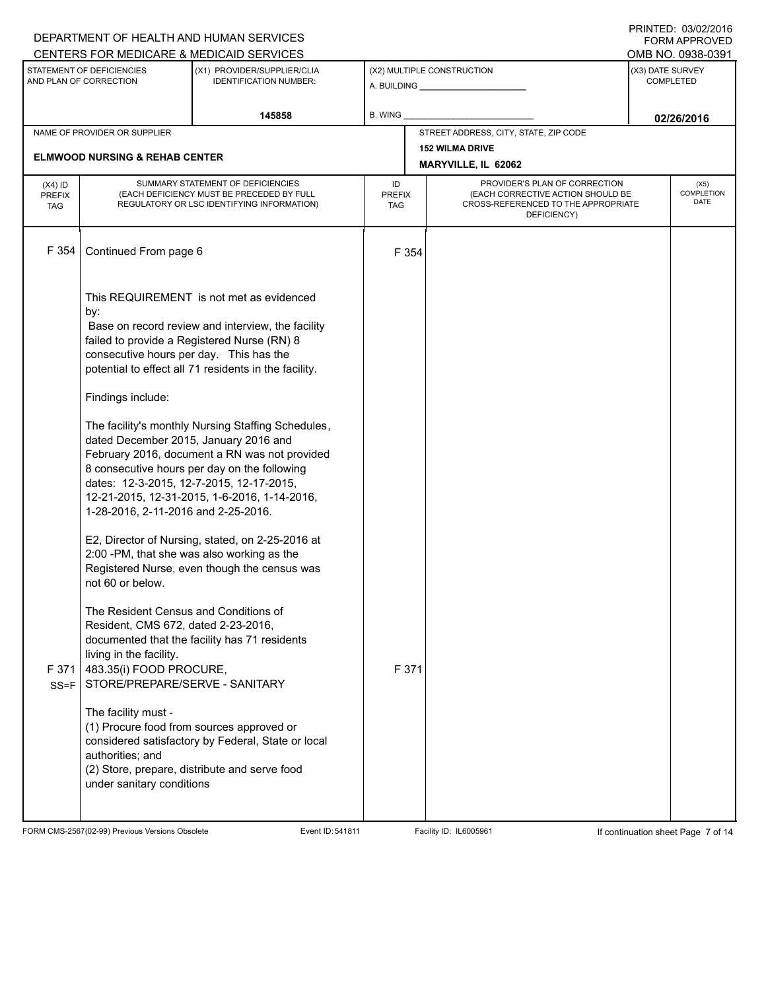|                                          |                                                                                                                                                                                                                                                                                                                                                                                                                                                                                                                                                | DEPARTMENT OF HEALTH AND HUMAN SERVICES                                                                                                                                                                                                                                                                                                                                                                                                                                                                                                                                                                                 |                            |                                                                                                                          |                                      | I INITILLY. 00/04/2010<br><b>FORM APPROVED</b> |  |
|------------------------------------------|------------------------------------------------------------------------------------------------------------------------------------------------------------------------------------------------------------------------------------------------------------------------------------------------------------------------------------------------------------------------------------------------------------------------------------------------------------------------------------------------------------------------------------------------|-------------------------------------------------------------------------------------------------------------------------------------------------------------------------------------------------------------------------------------------------------------------------------------------------------------------------------------------------------------------------------------------------------------------------------------------------------------------------------------------------------------------------------------------------------------------------------------------------------------------------|----------------------------|--------------------------------------------------------------------------------------------------------------------------|--------------------------------------|------------------------------------------------|--|
|                                          |                                                                                                                                                                                                                                                                                                                                                                                                                                                                                                                                                | CENTERS FOR MEDICARE & MEDICAID SERVICES                                                                                                                                                                                                                                                                                                                                                                                                                                                                                                                                                                                |                            |                                                                                                                          |                                      | OMB NO. 0938-0391                              |  |
|                                          | STATEMENT OF DEFICIENCIES<br>AND PLAN OF CORRECTION                                                                                                                                                                                                                                                                                                                                                                                                                                                                                            | (X1) PROVIDER/SUPPLIER/CLIA<br><b>IDENTIFICATION NUMBER:</b>                                                                                                                                                                                                                                                                                                                                                                                                                                                                                                                                                            |                            | (X2) MULTIPLE CONSTRUCTION                                                                                               | (X3) DATE SURVEY<br><b>COMPLETED</b> |                                                |  |
|                                          |                                                                                                                                                                                                                                                                                                                                                                                                                                                                                                                                                | 145858                                                                                                                                                                                                                                                                                                                                                                                                                                                                                                                                                                                                                  | B. WING                    |                                                                                                                          |                                      | 02/26/2016                                     |  |
|                                          | NAME OF PROVIDER OR SUPPLIER                                                                                                                                                                                                                                                                                                                                                                                                                                                                                                                   |                                                                                                                                                                                                                                                                                                                                                                                                                                                                                                                                                                                                                         |                            | STREET ADDRESS, CITY, STATE, ZIP CODE                                                                                    |                                      |                                                |  |
|                                          | <b>ELMWOOD NURSING &amp; REHAB CENTER</b>                                                                                                                                                                                                                                                                                                                                                                                                                                                                                                      |                                                                                                                                                                                                                                                                                                                                                                                                                                                                                                                                                                                                                         |                            | <b>152 WILMA DRIVE</b><br>MARYVILLE, IL 62062                                                                            |                                      |                                                |  |
| $(X4)$ ID<br><b>PREFIX</b><br><b>TAG</b> |                                                                                                                                                                                                                                                                                                                                                                                                                                                                                                                                                | SUMMARY STATEMENT OF DEFICIENCIES<br>(EACH DEFICIENCY MUST BE PRECEDED BY FULL<br>REGULATORY OR LSC IDENTIFYING INFORMATION)                                                                                                                                                                                                                                                                                                                                                                                                                                                                                            | ID<br><b>PREFIX</b><br>TAG | PROVIDER'S PLAN OF CORRECTION<br>(EACH CORRECTIVE ACTION SHOULD BE<br>CROSS-REFERENCED TO THE APPROPRIATE<br>DEFICIENCY) |                                      | (X5)<br><b>COMPLETION</b><br>DATE              |  |
| F 354                                    | Continued From page 6                                                                                                                                                                                                                                                                                                                                                                                                                                                                                                                          |                                                                                                                                                                                                                                                                                                                                                                                                                                                                                                                                                                                                                         | F 354                      |                                                                                                                          |                                      |                                                |  |
|                                          | by:<br>consecutive hours per day. This has the<br>Findings include:<br>dated December 2015, January 2016 and<br>dates: 12-3-2015, 12-7-2015, 12-17-2015,<br>1-28-2016, 2-11-2016 and 2-25-2016.<br>2:00 -PM, that she was also working as the<br>not 60 or below.<br>The Resident Census and Conditions of<br>Resident, CMS 672, dated 2-23-2016,<br>living in the facility.<br>F 371 483.35(i) FOOD PROCURE,<br>SS=F   STORE/PREPARE/SERVE - SANITARY<br>The facility must -<br>(1) Procure food from sources approved or<br>authorities; and | This REQUIREMENT is not met as evidenced<br>Base on record review and interview, the facility<br>failed to provide a Registered Nurse (RN) 8<br>potential to effect all 71 residents in the facility.<br>The facility's monthly Nursing Staffing Schedules,<br>February 2016, document a RN was not provided<br>8 consecutive hours per day on the following<br>12-21-2015, 12-31-2015, 1-6-2016, 1-14-2016,<br>E2, Director of Nursing, stated, on 2-25-2016 at<br>Registered Nurse, even though the census was<br>documented that the facility has 71 residents<br>considered satisfactory by Federal, State or local | F 371                      |                                                                                                                          |                                      |                                                |  |
|                                          | under sanitary conditions                                                                                                                                                                                                                                                                                                                                                                                                                                                                                                                      | (2) Store, prepare, distribute and serve food                                                                                                                                                                                                                                                                                                                                                                                                                                                                                                                                                                           |                            |                                                                                                                          |                                      |                                                |  |

FORM CMS-2567(02-99) Previous Versions Obsolete Event ID: 541811 Event ID: 541811 Facility ID: IL6005961 If continuation sheet Page 7 of 14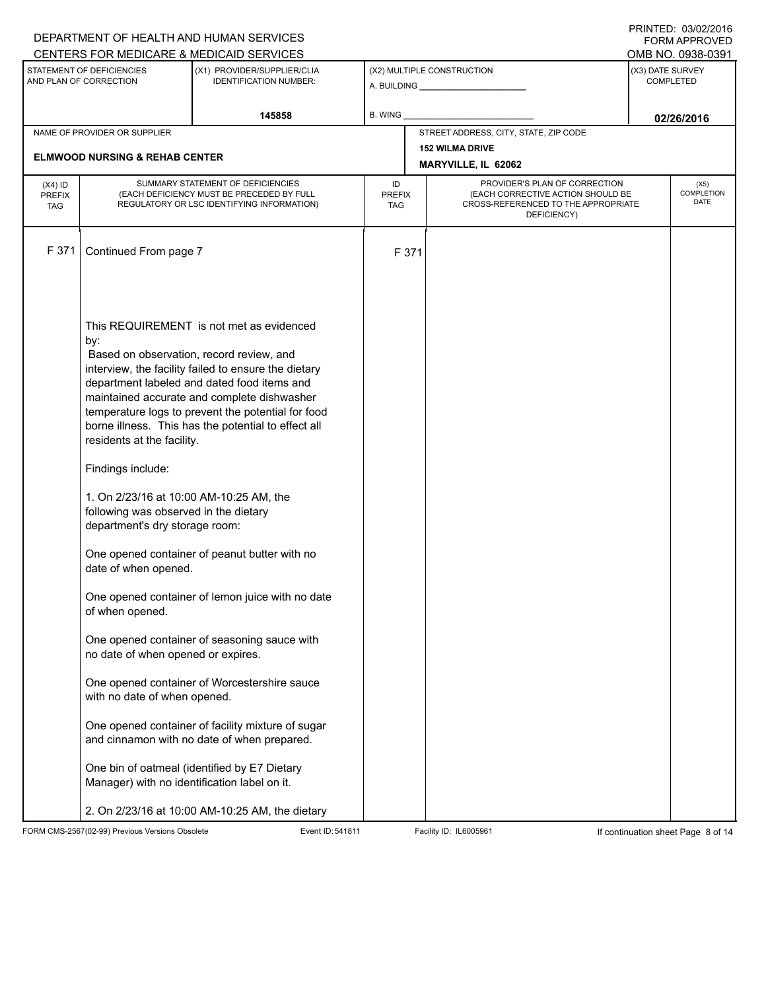|                                          |                                                                                                                                         | DEPARTMENT OF HEALTH AND HUMAN SERVICES                                                                                                                                                                                                                                                                                                                 |                            |                                                                                                                          | 1.11111111171.0000272010<br>FORM APPROVED |
|------------------------------------------|-----------------------------------------------------------------------------------------------------------------------------------------|---------------------------------------------------------------------------------------------------------------------------------------------------------------------------------------------------------------------------------------------------------------------------------------------------------------------------------------------------------|----------------------------|--------------------------------------------------------------------------------------------------------------------------|-------------------------------------------|
|                                          |                                                                                                                                         | CENTERS FOR MEDICARE & MEDICAID SERVICES                                                                                                                                                                                                                                                                                                                |                            |                                                                                                                          | OMB NO. 0938-0391                         |
|                                          | STATEMENT OF DEFICIENCIES<br>AND PLAN OF CORRECTION                                                                                     | (X1) PROVIDER/SUPPLIER/CLIA<br><b>IDENTIFICATION NUMBER:</b>                                                                                                                                                                                                                                                                                            |                            | (X2) MULTIPLE CONSTRUCTION                                                                                               | (X3) DATE SURVEY<br><b>COMPLETED</b>      |
|                                          |                                                                                                                                         | 145858                                                                                                                                                                                                                                                                                                                                                  | B. WING                    |                                                                                                                          | 02/26/2016                                |
|                                          | NAME OF PROVIDER OR SUPPLIER                                                                                                            |                                                                                                                                                                                                                                                                                                                                                         |                            | STREET ADDRESS, CITY, STATE, ZIP CODE                                                                                    |                                           |
|                                          | <b>ELMWOOD NURSING &amp; REHAB CENTER</b>                                                                                               |                                                                                                                                                                                                                                                                                                                                                         |                            | <b>152 WILMA DRIVE</b><br>MARYVILLE, IL 62062                                                                            |                                           |
| $(X4)$ ID<br><b>PREFIX</b><br><b>TAG</b> |                                                                                                                                         | SUMMARY STATEMENT OF DEFICIENCIES<br>(EACH DEFICIENCY MUST BE PRECEDED BY FULL<br>REGULATORY OR LSC IDENTIFYING INFORMATION)                                                                                                                                                                                                                            | ID<br><b>PREFIX</b><br>TAG | PROVIDER'S PLAN OF CORRECTION<br>(EACH CORRECTIVE ACTION SHOULD BE<br>CROSS-REFERENCED TO THE APPROPRIATE<br>DEFICIENCY) | (X5)<br>COMPLETION<br>DATE                |
| F 371                                    | Continued From page 7                                                                                                                   |                                                                                                                                                                                                                                                                                                                                                         | F 371                      |                                                                                                                          |                                           |
|                                          | by:<br>residents at the facility.                                                                                                       | This REQUIREMENT is not met as evidenced<br>Based on observation, record review, and<br>interview, the facility failed to ensure the dietary<br>department labeled and dated food items and<br>maintained accurate and complete dishwasher<br>temperature logs to prevent the potential for food<br>borne illness. This has the potential to effect all |                            |                                                                                                                          |                                           |
|                                          | Findings include:<br>1. On 2/23/16 at 10:00 AM-10:25 AM, the<br>following was observed in the dietary<br>department's dry storage room: |                                                                                                                                                                                                                                                                                                                                                         |                            |                                                                                                                          |                                           |
|                                          | date of when opened.                                                                                                                    | One opened container of peanut butter with no                                                                                                                                                                                                                                                                                                           |                            |                                                                                                                          |                                           |
|                                          | of when opened.                                                                                                                         | One opened container of lemon juice with no date                                                                                                                                                                                                                                                                                                        |                            |                                                                                                                          |                                           |
|                                          | no date of when opened or expires.                                                                                                      | One opened container of seasoning sauce with                                                                                                                                                                                                                                                                                                            |                            |                                                                                                                          |                                           |
|                                          | with no date of when opened.                                                                                                            | One opened container of Worcestershire sauce                                                                                                                                                                                                                                                                                                            |                            |                                                                                                                          |                                           |
|                                          |                                                                                                                                         | One opened container of facility mixture of sugar<br>and cinnamon with no date of when prepared.                                                                                                                                                                                                                                                        |                            |                                                                                                                          |                                           |
|                                          | Manager) with no identification label on it.                                                                                            | One bin of oatmeal (identified by E7 Dietary                                                                                                                                                                                                                                                                                                            |                            |                                                                                                                          |                                           |
|                                          |                                                                                                                                         | 2. On 2/23/16 at 10:00 AM-10:25 AM, the dietary                                                                                                                                                                                                                                                                                                         |                            |                                                                                                                          |                                           |

FORM CMS-2567(02-99) Previous Versions Obsolete Event ID: 541811 Facility ID: IL6005961 If continuation sheet Page 8 of 14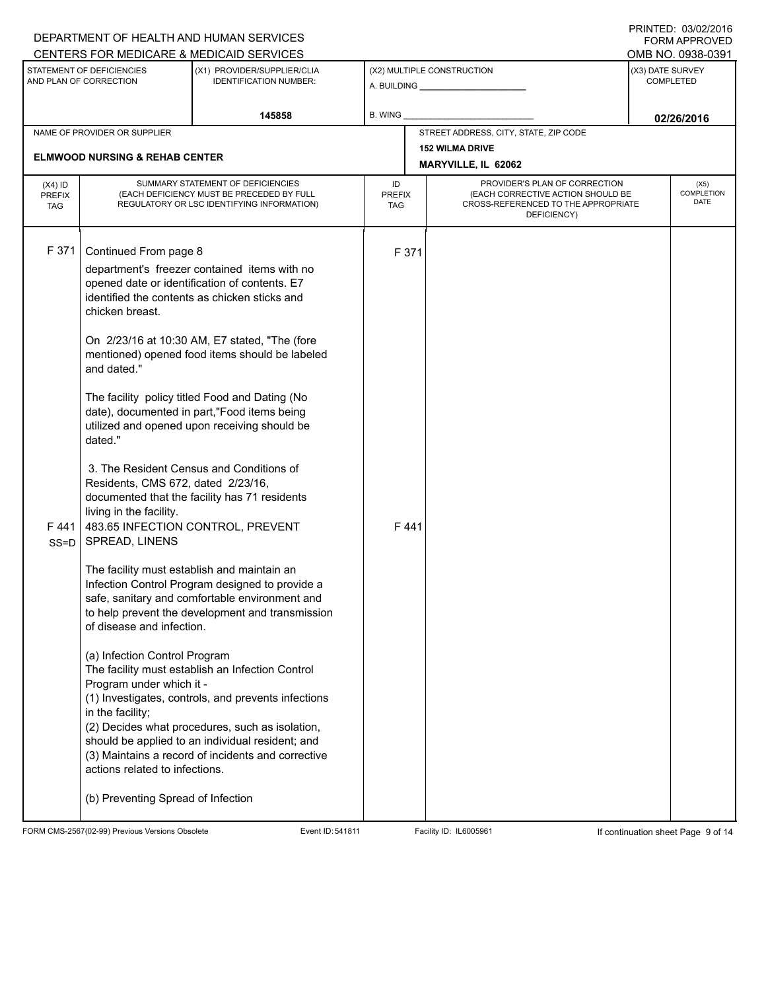|                                          |                                                                                                                                                                                                                           | DEPARTMENT OF HEALTH AND HUMAN SERVICES                                                                                                                                                                                                                              |                            |                                                                                                                          |  | I INITILLY. 00/04/2010<br><b>FORM APPROVED</b> |
|------------------------------------------|---------------------------------------------------------------------------------------------------------------------------------------------------------------------------------------------------------------------------|----------------------------------------------------------------------------------------------------------------------------------------------------------------------------------------------------------------------------------------------------------------------|----------------------------|--------------------------------------------------------------------------------------------------------------------------|--|------------------------------------------------|
|                                          |                                                                                                                                                                                                                           | CENTERS FOR MEDICARE & MEDICAID SERVICES                                                                                                                                                                                                                             |                            |                                                                                                                          |  | OMB NO. 0938-0391                              |
|                                          | STATEMENT OF DEFICIENCIES<br>AND PLAN OF CORRECTION                                                                                                                                                                       | (X1) PROVIDER/SUPPLIER/CLIA<br><b>IDENTIFICATION NUMBER:</b>                                                                                                                                                                                                         |                            | (X2) MULTIPLE CONSTRUCTION<br>A. BUILDING A. BUILDING                                                                    |  | (X3) DATE SURVEY<br><b>COMPLETED</b>           |
|                                          |                                                                                                                                                                                                                           | 145858                                                                                                                                                                                                                                                               | B. WING                    |                                                                                                                          |  | 02/26/2016                                     |
|                                          | NAME OF PROVIDER OR SUPPLIER                                                                                                                                                                                              |                                                                                                                                                                                                                                                                      |                            | STREET ADDRESS, CITY, STATE, ZIP CODE                                                                                    |  |                                                |
|                                          | <b>ELMWOOD NURSING &amp; REHAB CENTER</b>                                                                                                                                                                                 |                                                                                                                                                                                                                                                                      |                            | <b>152 WILMA DRIVE</b>                                                                                                   |  |                                                |
|                                          |                                                                                                                                                                                                                           |                                                                                                                                                                                                                                                                      |                            | MARYVILLE, IL 62062                                                                                                      |  |                                                |
| $(X4)$ ID<br><b>PREFIX</b><br><b>TAG</b> |                                                                                                                                                                                                                           | SUMMARY STATEMENT OF DEFICIENCIES<br>(EACH DEFICIENCY MUST BE PRECEDED BY FULL<br>REGULATORY OR LSC IDENTIFYING INFORMATION)                                                                                                                                         | ID<br><b>PREFIX</b><br>TAG | PROVIDER'S PLAN OF CORRECTION<br>(EACH CORRECTIVE ACTION SHOULD BE<br>CROSS-REFERENCED TO THE APPROPRIATE<br>DEFICIENCY) |  |                                                |
| F 371                                    | Continued From page 8<br>chicken breast.                                                                                                                                                                                  | department's freezer contained items with no<br>opened date or identification of contents. E7<br>identified the contents as chicken sticks and                                                                                                                       | F 371                      |                                                                                                                          |  |                                                |
|                                          | and dated."                                                                                                                                                                                                               | On 2/23/16 at 10:30 AM, E7 stated, "The (fore<br>mentioned) opened food items should be labeled                                                                                                                                                                      |                            |                                                                                                                          |  |                                                |
|                                          | dated."                                                                                                                                                                                                                   | The facility policy titled Food and Dating (No<br>date), documented in part,"Food items being<br>utilized and opened upon receiving should be                                                                                                                        |                            |                                                                                                                          |  |                                                |
| $SS = D$                                 | 3. The Resident Census and Conditions of<br>Residents, CMS 672, dated 2/23/16,<br>documented that the facility has 71 residents<br>living in the facility.<br>F 441   483.65 INFECTION CONTROL, PREVENT<br>SPREAD, LINENS |                                                                                                                                                                                                                                                                      | F441                       |                                                                                                                          |  |                                                |
|                                          | The facility must establish and maintain an<br>of disease and infection.                                                                                                                                                  | Infection Control Program designed to provide a<br>safe, sanitary and comfortable environment and<br>to help prevent the development and transmission                                                                                                                |                            |                                                                                                                          |  |                                                |
|                                          | (a) Infection Control Program<br>Program under which it -<br>in the facility;<br>actions related to infections.<br>(b) Preventing Spread of Infection                                                                     | The facility must establish an Infection Control<br>(1) Investigates, controls, and prevents infections<br>(2) Decides what procedures, such as isolation,<br>should be applied to an individual resident; and<br>(3) Maintains a record of incidents and corrective |                            |                                                                                                                          |  |                                                |

FORM CMS-2567(02-99) Previous Versions Obsolete Event ID: 541811 Event ID: 541811 Facility ID: IL6005961 If continuation sheet Page 9 of 14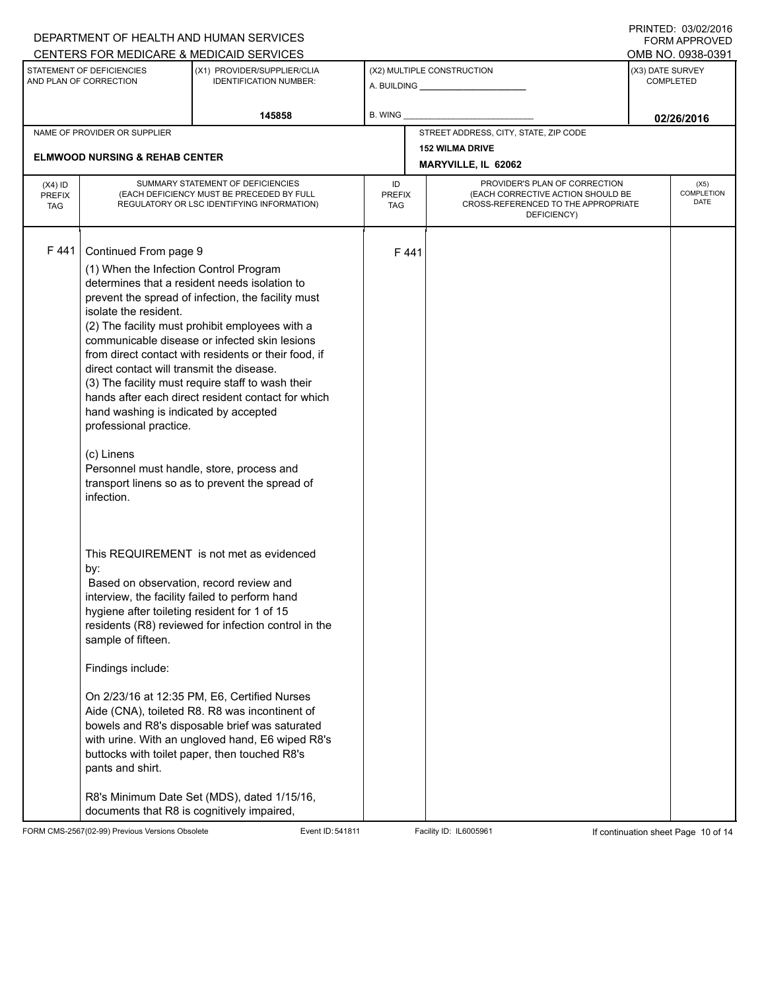|                                          |                                                                                                                                                                                                                                      | DEPARTMENT OF HEALTH AND HUMAN SERVICES                                                                                                                                                                                                                                                                                                                                                                                                                                    |                            |      |                                                                                                                          | $1 \times 1 \times 1 = 1$ . $0 \times 1 \times 1 = 10$<br><b>FORM APPROVED</b> |
|------------------------------------------|--------------------------------------------------------------------------------------------------------------------------------------------------------------------------------------------------------------------------------------|----------------------------------------------------------------------------------------------------------------------------------------------------------------------------------------------------------------------------------------------------------------------------------------------------------------------------------------------------------------------------------------------------------------------------------------------------------------------------|----------------------------|------|--------------------------------------------------------------------------------------------------------------------------|--------------------------------------------------------------------------------|
|                                          | STATEMENT OF DEFICIENCIES                                                                                                                                                                                                            | CENTERS FOR MEDICARE & MEDICAID SERVICES<br>(X1) PROVIDER/SUPPLIER/CLIA                                                                                                                                                                                                                                                                                                                                                                                                    |                            |      | (X2) MULTIPLE CONSTRUCTION                                                                                               | OMB NO. 0938-0391<br>(X3) DATE SURVEY                                          |
|                                          | AND PLAN OF CORRECTION                                                                                                                                                                                                               | <b>IDENTIFICATION NUMBER:</b>                                                                                                                                                                                                                                                                                                                                                                                                                                              |                            |      |                                                                                                                          | COMPLETED                                                                      |
|                                          |                                                                                                                                                                                                                                      | 145858                                                                                                                                                                                                                                                                                                                                                                                                                                                                     | B. WING                    |      |                                                                                                                          | 02/26/2016                                                                     |
|                                          | NAME OF PROVIDER OR SUPPLIER                                                                                                                                                                                                         |                                                                                                                                                                                                                                                                                                                                                                                                                                                                            |                            |      | STREET ADDRESS, CITY, STATE, ZIP CODE                                                                                    |                                                                                |
|                                          |                                                                                                                                                                                                                                      |                                                                                                                                                                                                                                                                                                                                                                                                                                                                            |                            |      | <b>152 WILMA DRIVE</b>                                                                                                   |                                                                                |
|                                          | <b>ELMWOOD NURSING &amp; REHAB CENTER</b>                                                                                                                                                                                            |                                                                                                                                                                                                                                                                                                                                                                                                                                                                            |                            |      | <b>MARYVILLE, IL 62062</b>                                                                                               |                                                                                |
| $(X4)$ ID<br><b>PREFIX</b><br><b>TAG</b> |                                                                                                                                                                                                                                      | SUMMARY STATEMENT OF DEFICIENCIES<br>(EACH DEFICIENCY MUST BE PRECEDED BY FULL<br>REGULATORY OR LSC IDENTIFYING INFORMATION)                                                                                                                                                                                                                                                                                                                                               | ID<br><b>PREFIX</b><br>TAG |      | PROVIDER'S PLAN OF CORRECTION<br>(EACH CORRECTIVE ACTION SHOULD BE<br>CROSS-REFERENCED TO THE APPROPRIATE<br>DEFICIENCY) | (X5)<br>COMPLETION<br>DATE                                                     |
| F441                                     | Continued From page 9<br>(1) When the Infection Control Program<br>isolate the resident.<br>direct contact will transmit the disease.<br>hand washing is indicated by accepted<br>professional practice.<br>(c) Linens<br>infection. | determines that a resident needs isolation to<br>prevent the spread of infection, the facility must<br>(2) The facility must prohibit employees with a<br>communicable disease or infected skin lesions<br>from direct contact with residents or their food, if<br>(3) The facility must require staff to wash their<br>hands after each direct resident contact for which<br>Personnel must handle, store, process and<br>transport linens so as to prevent the spread of |                            | F441 |                                                                                                                          |                                                                                |
|                                          | by:<br>Based on observation, record review and<br>hygiene after toileting resident for 1 of 15<br>sample of fifteen.<br>Findings include:<br>pants and shirt.<br>documents that R8 is cognitively impaired,                          | This REQUIREMENT is not met as evidenced<br>interview, the facility failed to perform hand<br>residents (R8) reviewed for infection control in the<br>On 2/23/16 at 12:35 PM, E6, Certified Nurses<br>Aide (CNA), toileted R8. R8 was incontinent of<br>bowels and R8's disposable brief was saturated<br>with urine. With an ungloved hand, E6 wiped R8's<br>buttocks with toilet paper, then touched R8's<br>R8's Minimum Date Set (MDS), dated 1/15/16,                 |                            |      |                                                                                                                          |                                                                                |

FORM CMS-2567(02-99) Previous Versions Obsolete Event ID: 541811 Event ID: 541811 Facility ID: IL6005961 If continuation sheet Page 10 of 14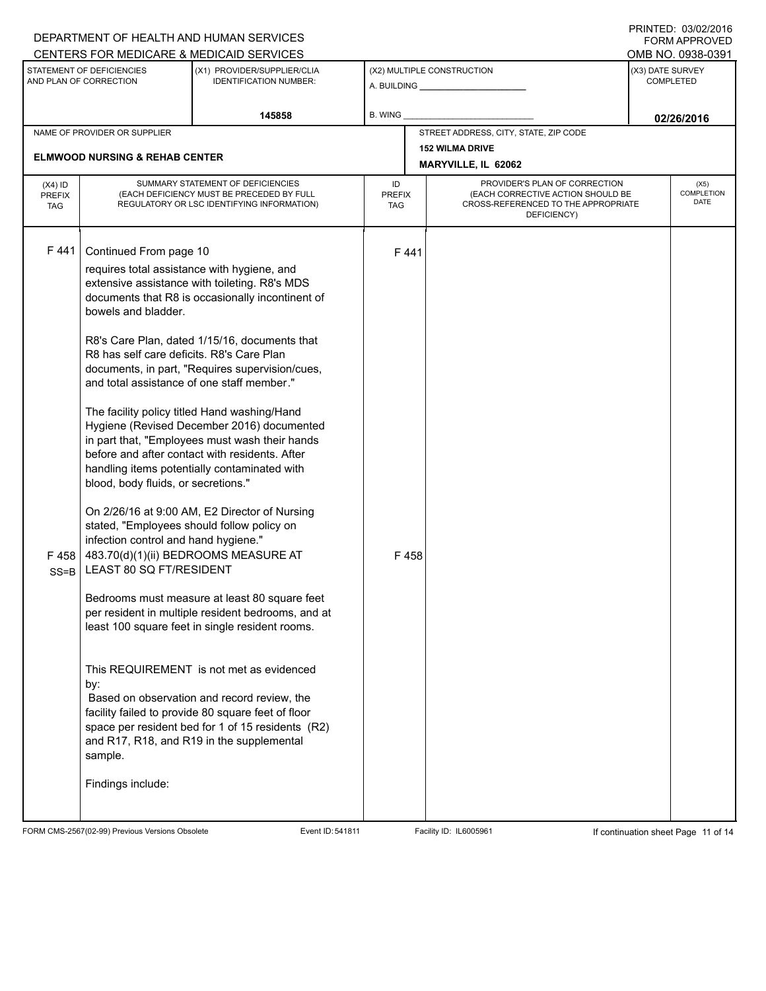|                                          |                                                                                                                                                                                                                                                                                                                                                               | DEPARTMENT OF HEALTH AND HUMAN SERVICES                                                                                                                                                                                                                                                                                                                                                                                                                                                                                                                                                                                                                                                                                                                                                                                                                     |                            |                                                                                                                          |                  | I INITILLY. 00/04/2010<br><b>FORM APPROVED</b> |
|------------------------------------------|---------------------------------------------------------------------------------------------------------------------------------------------------------------------------------------------------------------------------------------------------------------------------------------------------------------------------------------------------------------|-------------------------------------------------------------------------------------------------------------------------------------------------------------------------------------------------------------------------------------------------------------------------------------------------------------------------------------------------------------------------------------------------------------------------------------------------------------------------------------------------------------------------------------------------------------------------------------------------------------------------------------------------------------------------------------------------------------------------------------------------------------------------------------------------------------------------------------------------------------|----------------------------|--------------------------------------------------------------------------------------------------------------------------|------------------|------------------------------------------------|
|                                          | STATEMENT OF DEFICIENCIES                                                                                                                                                                                                                                                                                                                                     | CENTERS FOR MEDICARE & MEDICAID SERVICES                                                                                                                                                                                                                                                                                                                                                                                                                                                                                                                                                                                                                                                                                                                                                                                                                    |                            |                                                                                                                          | (X3) DATE SURVEY | OMB NO. 0938-0391                              |
|                                          | AND PLAN OF CORRECTION                                                                                                                                                                                                                                                                                                                                        | (X1) PROVIDER/SUPPLIER/CLIA<br><b>IDENTIFICATION NUMBER:</b>                                                                                                                                                                                                                                                                                                                                                                                                                                                                                                                                                                                                                                                                                                                                                                                                |                            | (X2) MULTIPLE CONSTRUCTION                                                                                               |                  | <b>COMPLETED</b>                               |
|                                          |                                                                                                                                                                                                                                                                                                                                                               | 145858                                                                                                                                                                                                                                                                                                                                                                                                                                                                                                                                                                                                                                                                                                                                                                                                                                                      | B. WING                    |                                                                                                                          |                  | 02/26/2016                                     |
|                                          | NAME OF PROVIDER OR SUPPLIER                                                                                                                                                                                                                                                                                                                                  |                                                                                                                                                                                                                                                                                                                                                                                                                                                                                                                                                                                                                                                                                                                                                                                                                                                             |                            | STREET ADDRESS, CITY, STATE, ZIP CODE                                                                                    |                  |                                                |
|                                          | <b>ELMWOOD NURSING &amp; REHAB CENTER</b>                                                                                                                                                                                                                                                                                                                     |                                                                                                                                                                                                                                                                                                                                                                                                                                                                                                                                                                                                                                                                                                                                                                                                                                                             |                            | <b>152 WILMA DRIVE</b>                                                                                                   |                  |                                                |
|                                          |                                                                                                                                                                                                                                                                                                                                                               |                                                                                                                                                                                                                                                                                                                                                                                                                                                                                                                                                                                                                                                                                                                                                                                                                                                             |                            | MARYVILLE, IL 62062                                                                                                      |                  |                                                |
| $(X4)$ ID<br><b>PREFIX</b><br><b>TAG</b> |                                                                                                                                                                                                                                                                                                                                                               | SUMMARY STATEMENT OF DEFICIENCIES<br>(EACH DEFICIENCY MUST BE PRECEDED BY FULL<br>REGULATORY OR LSC IDENTIFYING INFORMATION)                                                                                                                                                                                                                                                                                                                                                                                                                                                                                                                                                                                                                                                                                                                                | ID<br><b>PREFIX</b><br>TAG | PROVIDER'S PLAN OF CORRECTION<br>(EACH CORRECTIVE ACTION SHOULD BE<br>CROSS-REFERENCED TO THE APPROPRIATE<br>DEFICIENCY) |                  | (X5)<br>COMPLETION<br>DATE                     |
| F441<br>F458<br>$SS = B$                 | Continued From page 10<br>requires total assistance with hygiene, and<br>bowels and bladder.<br>R8 has self care deficits. R8's Care Plan<br>and total assistance of one staff member."<br>blood, body fluids, or secretions."<br>stated, "Employees should follow policy on<br>infection control and hand hygiene."<br><b>LEAST 80 SO FT/RESIDENT</b><br>by: | extensive assistance with toileting. R8's MDS<br>documents that R8 is occasionally incontinent of<br>R8's Care Plan, dated 1/15/16, documents that<br>documents, in part, "Requires supervision/cues,<br>The facility policy titled Hand washing/Hand<br>Hygiene (Revised December 2016) documented<br>in part that, "Employees must wash their hands<br>before and after contact with residents. After<br>handling items potentially contaminated with<br>On 2/26/16 at 9:00 AM, E2 Director of Nursing<br>483.70(d)(1)(ii) BEDROOMS MEASURE AT<br>Bedrooms must measure at least 80 square feet<br>per resident in multiple resident bedrooms, and at<br>least 100 square feet in single resident rooms.<br>This REQUIREMENT is not met as evidenced<br>Based on observation and record review, the<br>facility failed to provide 80 square feet of floor | F441<br>F458               |                                                                                                                          |                  |                                                |
|                                          | sample.<br>Findings include:                                                                                                                                                                                                                                                                                                                                  | space per resident bed for 1 of 15 residents (R2)<br>and R17, R18, and R19 in the supplemental                                                                                                                                                                                                                                                                                                                                                                                                                                                                                                                                                                                                                                                                                                                                                              |                            |                                                                                                                          |                  |                                                |

FORM CMS-2567(02-99) Previous Versions Obsolete Event ID: 541811 Facility ID: IL6005961 If continuation sheet Page 11 of 14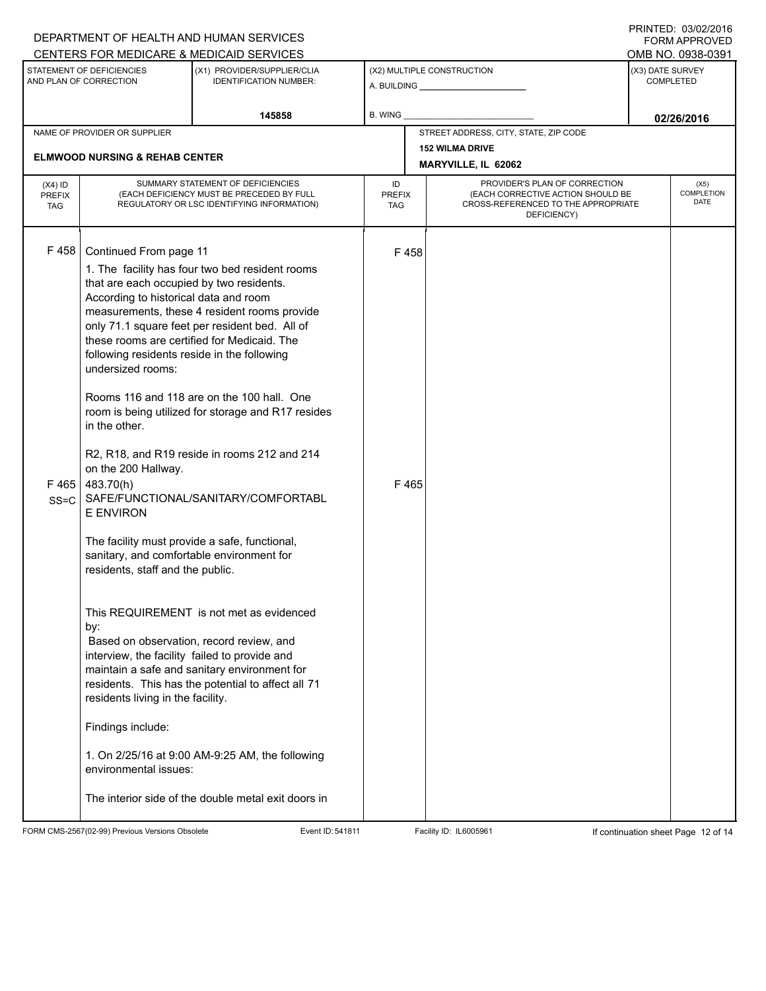|                                          |                                                                                                                                                                                                                                                                                                                                                                                                                                                                                                                                                                                   | DEPARTMENT OF HEALTH AND HUMAN SERVICES                                                                                                                                                                                                                                                                                                                                                                                                                                                                                                                                                          |                            |                            |                                                                                                                          |  | <b>FORM APPROVED</b>                 |
|------------------------------------------|-----------------------------------------------------------------------------------------------------------------------------------------------------------------------------------------------------------------------------------------------------------------------------------------------------------------------------------------------------------------------------------------------------------------------------------------------------------------------------------------------------------------------------------------------------------------------------------|--------------------------------------------------------------------------------------------------------------------------------------------------------------------------------------------------------------------------------------------------------------------------------------------------------------------------------------------------------------------------------------------------------------------------------------------------------------------------------------------------------------------------------------------------------------------------------------------------|----------------------------|----------------------------|--------------------------------------------------------------------------------------------------------------------------|--|--------------------------------------|
|                                          |                                                                                                                                                                                                                                                                                                                                                                                                                                                                                                                                                                                   | CENTERS FOR MEDICARE & MEDICAID SERVICES                                                                                                                                                                                                                                                                                                                                                                                                                                                                                                                                                         |                            |                            |                                                                                                                          |  | OMB NO. 0938-0391                    |
|                                          | STATEMENT OF DEFICIENCIES<br>AND PLAN OF CORRECTION                                                                                                                                                                                                                                                                                                                                                                                                                                                                                                                               | (X1) PROVIDER/SUPPLIER/CLIA<br><b>IDENTIFICATION NUMBER:</b>                                                                                                                                                                                                                                                                                                                                                                                                                                                                                                                                     |                            | (X2) MULTIPLE CONSTRUCTION |                                                                                                                          |  | (X3) DATE SURVEY<br><b>COMPLETED</b> |
|                                          |                                                                                                                                                                                                                                                                                                                                                                                                                                                                                                                                                                                   | 145858                                                                                                                                                                                                                                                                                                                                                                                                                                                                                                                                                                                           | B. WING                    |                            |                                                                                                                          |  | 02/26/2016                           |
|                                          | NAME OF PROVIDER OR SUPPLIER                                                                                                                                                                                                                                                                                                                                                                                                                                                                                                                                                      |                                                                                                                                                                                                                                                                                                                                                                                                                                                                                                                                                                                                  |                            |                            | STREET ADDRESS, CITY, STATE, ZIP CODE                                                                                    |  |                                      |
|                                          | <b>ELMWOOD NURSING &amp; REHAB CENTER</b>                                                                                                                                                                                                                                                                                                                                                                                                                                                                                                                                         |                                                                                                                                                                                                                                                                                                                                                                                                                                                                                                                                                                                                  |                            |                            | <b>152 WILMA DRIVE</b>                                                                                                   |  |                                      |
|                                          |                                                                                                                                                                                                                                                                                                                                                                                                                                                                                                                                                                                   |                                                                                                                                                                                                                                                                                                                                                                                                                                                                                                                                                                                                  |                            |                            | MARYVILLE, IL 62062                                                                                                      |  |                                      |
| $(X4)$ ID<br><b>PREFIX</b><br><b>TAG</b> |                                                                                                                                                                                                                                                                                                                                                                                                                                                                                                                                                                                   | SUMMARY STATEMENT OF DEFICIENCIES<br>(EACH DEFICIENCY MUST BE PRECEDED BY FULL<br>REGULATORY OR LSC IDENTIFYING INFORMATION)                                                                                                                                                                                                                                                                                                                                                                                                                                                                     | ID<br><b>PREFIX</b><br>TAG |                            | PROVIDER'S PLAN OF CORRECTION<br>(EACH CORRECTIVE ACTION SHOULD BE<br>CROSS-REFERENCED TO THE APPROPRIATE<br>DEFICIENCY) |  | (X5)<br><b>COMPLETION</b><br>DATE    |
| F458<br>F465<br>$SS = C$                 | Continued From page 11<br>that are each occupied by two residents.<br>According to historical data and room<br>following residents reside in the following<br>undersized rooms:<br>in the other.<br>on the 200 Hallway.<br>483.70(h)<br><b>E ENVIRON</b><br>The facility must provide a safe, functional,<br>sanitary, and comfortable environment for<br>residents, staff and the public.<br>by:<br>Based on observation, record review, and<br>interview, the facility failed to provide and<br>residents living in the facility.<br>Findings include:<br>environmental issues: | 1. The facility has four two bed resident rooms<br>measurements, these 4 resident rooms provide<br>only 71.1 square feet per resident bed. All of<br>these rooms are certified for Medicaid. The<br>Rooms 116 and 118 are on the 100 hall. One<br>room is being utilized for storage and R17 resides<br>R2, R18, and R19 reside in rooms 212 and 214<br>SAFE/FUNCTIONAL/SANITARY/COMFORTABL<br>This REQUIREMENT is not met as evidenced<br>maintain a safe and sanitary environment for<br>residents. This has the potential to affect all 71<br>1. On 2/25/16 at 9:00 AM-9:25 AM, the following | F458<br>F465               |                            |                                                                                                                          |  |                                      |
|                                          |                                                                                                                                                                                                                                                                                                                                                                                                                                                                                                                                                                                   | The interior side of the double metal exit doors in                                                                                                                                                                                                                                                                                                                                                                                                                                                                                                                                              |                            |                            |                                                                                                                          |  |                                      |

FORM CMS-2567(02-99) Previous Versions Obsolete Event ID: 541811 Event ID: 541811 Facility ID: IL6005961 If continuation sheet Page 12 of 14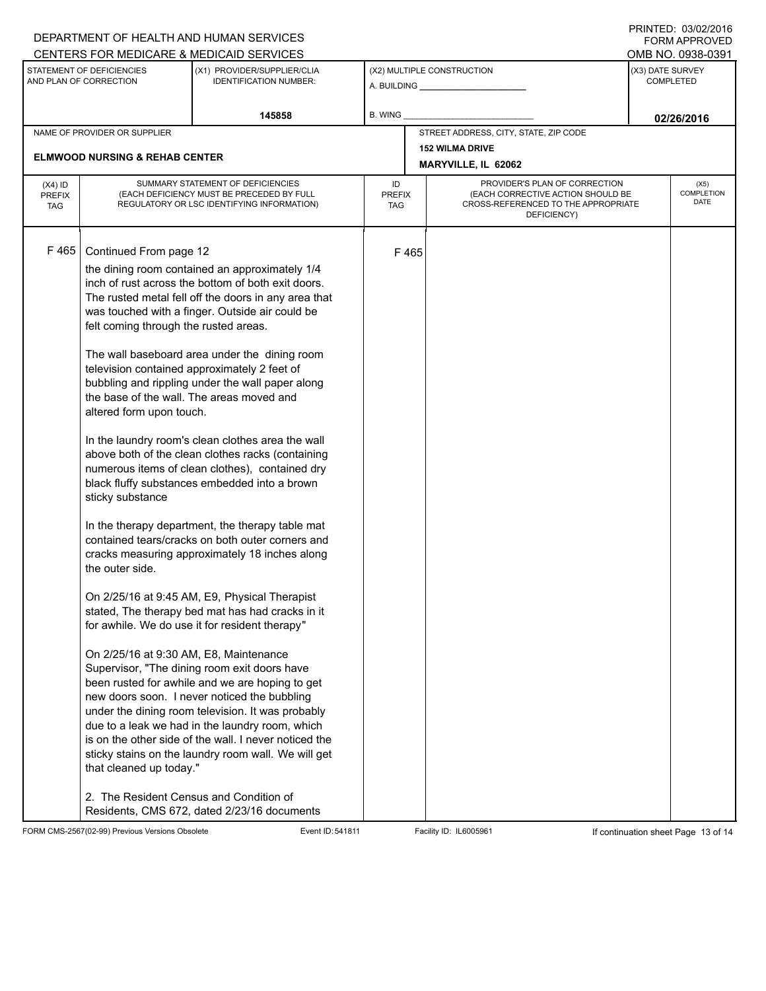|                                                     |                                                                                                                                                                                                                                                                                                                                                                                                                                                                                                                                                                                                                                                                                                                                                                                                                                                                                                                                                                                                                                                                                                                                                                                                                                                                                                                                                                                                                                                                                                                                                                                                                                  | DEPARTMENT OF HEALTH AND HUMAN SERVICES                      |                            |                                               |                                                                                                                          |                                      | $1 \times 1 \times 1 = 1$ . $0 \times 10 = 120$<br><b>FORM APPROVED</b> |  |
|-----------------------------------------------------|----------------------------------------------------------------------------------------------------------------------------------------------------------------------------------------------------------------------------------------------------------------------------------------------------------------------------------------------------------------------------------------------------------------------------------------------------------------------------------------------------------------------------------------------------------------------------------------------------------------------------------------------------------------------------------------------------------------------------------------------------------------------------------------------------------------------------------------------------------------------------------------------------------------------------------------------------------------------------------------------------------------------------------------------------------------------------------------------------------------------------------------------------------------------------------------------------------------------------------------------------------------------------------------------------------------------------------------------------------------------------------------------------------------------------------------------------------------------------------------------------------------------------------------------------------------------------------------------------------------------------------|--------------------------------------------------------------|----------------------------|-----------------------------------------------|--------------------------------------------------------------------------------------------------------------------------|--------------------------------------|-------------------------------------------------------------------------|--|
|                                                     |                                                                                                                                                                                                                                                                                                                                                                                                                                                                                                                                                                                                                                                                                                                                                                                                                                                                                                                                                                                                                                                                                                                                                                                                                                                                                                                                                                                                                                                                                                                                                                                                                                  | CENTERS FOR MEDICARE & MEDICAID SERVICES                     |                            |                                               |                                                                                                                          |                                      | OMB NO. 0938-0391                                                       |  |
| STATEMENT OF DEFICIENCIES<br>AND PLAN OF CORRECTION |                                                                                                                                                                                                                                                                                                                                                                                                                                                                                                                                                                                                                                                                                                                                                                                                                                                                                                                                                                                                                                                                                                                                                                                                                                                                                                                                                                                                                                                                                                                                                                                                                                  | (X1) PROVIDER/SUPPLIER/CLIA<br><b>IDENTIFICATION NUMBER:</b> | (X2) MULTIPLE CONSTRUCTION |                                               |                                                                                                                          | (X3) DATE SURVEY<br><b>COMPLETED</b> |                                                                         |  |
|                                                     |                                                                                                                                                                                                                                                                                                                                                                                                                                                                                                                                                                                                                                                                                                                                                                                                                                                                                                                                                                                                                                                                                                                                                                                                                                                                                                                                                                                                                                                                                                                                                                                                                                  | 145858                                                       | B. WING                    |                                               |                                                                                                                          | 02/26/2016                           |                                                                         |  |
|                                                     | NAME OF PROVIDER OR SUPPLIER                                                                                                                                                                                                                                                                                                                                                                                                                                                                                                                                                                                                                                                                                                                                                                                                                                                                                                                                                                                                                                                                                                                                                                                                                                                                                                                                                                                                                                                                                                                                                                                                     |                                                              |                            | STREET ADDRESS, CITY, STATE, ZIP CODE         |                                                                                                                          |                                      |                                                                         |  |
| <b>ELMWOOD NURSING &amp; REHAB CENTER</b>           |                                                                                                                                                                                                                                                                                                                                                                                                                                                                                                                                                                                                                                                                                                                                                                                                                                                                                                                                                                                                                                                                                                                                                                                                                                                                                                                                                                                                                                                                                                                                                                                                                                  |                                                              |                            | <b>152 WILMA DRIVE</b><br>MARYVILLE, IL 62062 |                                                                                                                          |                                      |                                                                         |  |
| $(X4)$ ID<br><b>PREFIX</b><br><b>TAG</b>            | SUMMARY STATEMENT OF DEFICIENCIES<br>(EACH DEFICIENCY MUST BE PRECEDED BY FULL<br>REGULATORY OR LSC IDENTIFYING INFORMATION)                                                                                                                                                                                                                                                                                                                                                                                                                                                                                                                                                                                                                                                                                                                                                                                                                                                                                                                                                                                                                                                                                                                                                                                                                                                                                                                                                                                                                                                                                                     |                                                              | ID<br><b>PREFIX</b><br>TAG |                                               | PROVIDER'S PLAN OF CORRECTION<br>(EACH CORRECTIVE ACTION SHOULD BE<br>CROSS-REFERENCED TO THE APPROPRIATE<br>DEFICIENCY) |                                      | (X5)<br><b>COMPLETION</b><br>DATE                                       |  |
| F465                                                | Continued From page 12<br>the dining room contained an approximately 1/4<br>inch of rust across the bottom of both exit doors.<br>The rusted metal fell off the doors in any area that<br>was touched with a finger. Outside air could be<br>felt coming through the rusted areas.<br>The wall baseboard area under the dining room<br>television contained approximately 2 feet of<br>bubbling and rippling under the wall paper along<br>the base of the wall. The areas moved and<br>altered form upon touch.<br>In the laundry room's clean clothes area the wall<br>above both of the clean clothes racks (containing<br>numerous items of clean clothes), contained dry<br>black fluffy substances embedded into a brown<br>sticky substance<br>In the therapy department, the therapy table mat<br>contained tears/cracks on both outer corners and<br>cracks measuring approximately 18 inches along<br>the outer side.<br>On 2/25/16 at 9:45 AM, E9, Physical Therapist<br>stated, The therapy bed mat has had cracks in it<br>for awhile. We do use it for resident therapy"<br>On 2/25/16 at 9:30 AM, E8, Maintenance<br>Supervisor, "The dining room exit doors have<br>been rusted for awhile and we are hoping to get<br>new doors soon. I never noticed the bubbling<br>under the dining room television. It was probably<br>due to a leak we had in the laundry room, which<br>is on the other side of the wall. I never noticed the<br>sticky stains on the laundry room wall. We will get<br>that cleaned up today."<br>2. The Resident Census and Condition of<br>Residents, CMS 672, dated 2/23/16 documents |                                                              |                            | F465                                          |                                                                                                                          |                                      |                                                                         |  |

FORM CMS-2567(02-99) Previous Versions Obsolete Event ID: 541811 Facility ID: IL6005961 If continuation sheet Page 13 of 14